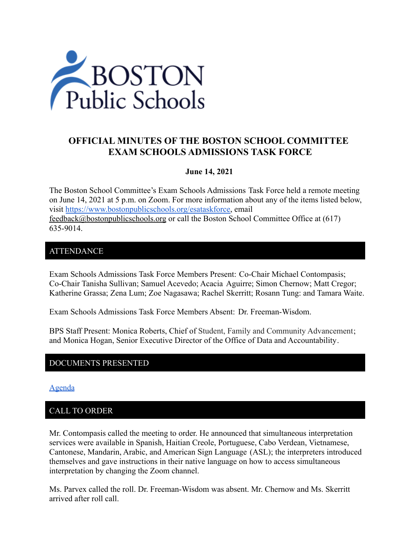

# **OFFICIAL MINUTES OF THE BOSTON SCHOOL COMMITTEE EXAM SCHOOLS ADMISSIONS TASK FORCE**

## **June 14, 2021**

The Boston School Committee's Exam Schools Admissions Task Force held a remote meeting on June 14, 2021 at 5 p.m. on Zoom. For more information about any of the items listed below, visit [https://www.bostonpublicschools.org/esataskforce,](https://www.bostonpublicschools.org/esataskforce) email [feedback@bostonpublicschools.org](mailto:feedback@bostonpublicschools.org) or call the Boston School Committee Office at (617) 635-9014.

# ATTENDANCE

Exam Schools Admissions Task Force Members Present: Co-Chair Michael Contompasis; Co-Chair Tanisha Sullivan; Samuel Acevedo; Acacia Aguirre; Simon Chernow; Matt Cregor; Katherine Grassa; Zena Lum; Zoe Nagasawa; Rachel Skerritt; Rosann Tung: and Tamara Waite.

Exam Schools Admissions Task Force Members Absent: Dr. Freeman-Wisdom.

BPS Staff Present: Monica Roberts, Chief of Student, Family and Community Advancement; and Monica Hogan, Senior Executive Director of the Office of Data and Accountability.

## DOCUMENTS PRESENTED

[Agenda](https://www.boston.gov/public-notices/15755286)

# CALL TO ORDER

Mr. Contompasis called the meeting to order. He announced that simultaneous interpretation services were available in Spanish, Haitian Creole, Portuguese, Cabo Verdean, Vietnamese, Cantonese, Mandarin, Arabic, and American Sign Language (ASL); the interpreters introduced themselves and gave instructions in their native language on how to access simultaneous interpretation by changing the Zoom channel.

Ms. Parvex called the roll. Dr. Freeman-Wisdom was absent. Mr. Chernow and Ms. Skerritt arrived after roll call.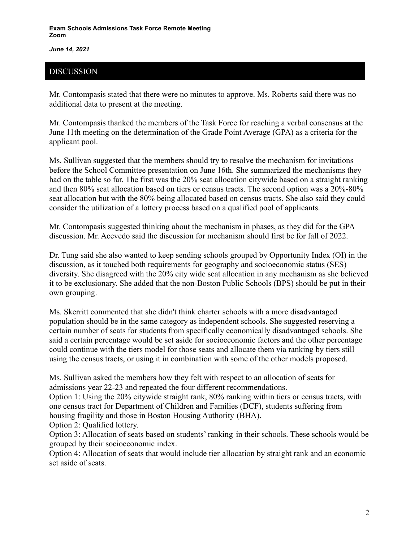*June 14, 2021*

# DISCUSSION

Mr. Contompasis stated that there were no minutes to approve. Ms. Roberts said there was no additional data to present at the meeting.

Mr. Contompasis thanked the members of the Task Force for reaching a verbal consensus at the June 11th meeting on the determination of the Grade Point Average (GPA) as a criteria for the applicant pool.

Ms. Sullivan suggested that the members should try to resolve the mechanism for invitations before the School Committee presentation on June 16th. She summarized the mechanisms they had on the table so far. The first was the 20% seat allocation citywide based on a straight ranking and then 80% seat allocation based on tiers or census tracts. The second option was a 20%-80% seat allocation but with the 80% being allocated based on census tracts. She also said they could consider the utilization of a lottery process based on a qualified pool of applicants.

Mr. Contompasis suggested thinking about the mechanism in phases, as they did for the GPA discussion. Mr. Acevedo said the discussion for mechanism should first be for fall of 2022.

Dr. Tung said she also wanted to keep sending schools grouped by Opportunity Index (OI) in the discussion, as it touched both requirements for geography and socioeconomic status (SES) diversity. She disagreed with the 20% city wide seat allocation in any mechanism as she believed it to be exclusionary. She added that the non-Boston Public Schools (BPS) should be put in their own grouping.

Ms. Skerritt commented that she didn't think charter schools with a more disadvantaged population should be in the same category as independent schools. She suggested reserving a certain number of seats for students from specifically economically disadvantaged schools. She said a certain percentage would be set aside for socioeconomic factors and the other percentage could continue with the tiers model for those seats and allocate them via ranking by tiers still using the census tracts, or using it in combination with some of the other models proposed.

Ms. Sullivan asked the members how they felt with respect to an allocation of seats for admissions year 22-23 and repeated the four different recommendations.

Option 1: Using the 20% citywide straight rank, 80% ranking within tiers or census tracts, with one census tract for Department of Children and Families (DCF), students suffering from housing fragility and those in Boston Housing Authority (BHA).

Option 2: Qualified lottery.

Option 3: Allocation of seats based on students' ranking in their schools. These schools would be grouped by their socioeconomic index.

Option 4: Allocation of seats that would include tier allocation by straight rank and an economic set aside of seats.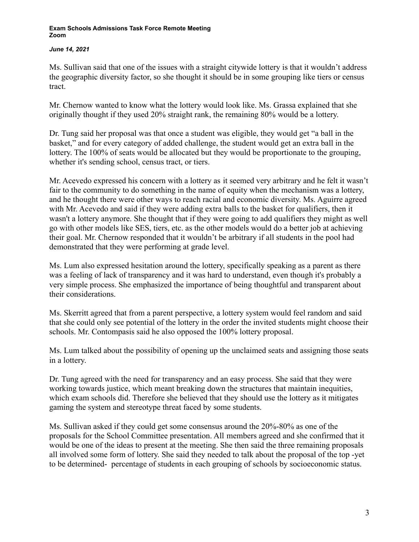### *June 14, 2021*

Ms. Sullivan said that one of the issues with a straight citywide lottery is that it wouldn't address the geographic diversity factor, so she thought it should be in some grouping like tiers or census tract.

Mr. Chernow wanted to know what the lottery would look like. Ms. Grassa explained that she originally thought if they used 20% straight rank, the remaining 80% would be a lottery.

Dr. Tung said her proposal was that once a student was eligible, they would get "a ball in the basket," and for every category of added challenge, the student would get an extra ball in the lottery. The 100% of seats would be allocated but they would be proportionate to the grouping, whether it's sending school, census tract, or tiers.

Mr. Acevedo expressed his concern with a lottery as it seemed very arbitrary and he felt it wasn't fair to the community to do something in the name of equity when the mechanism was a lottery, and he thought there were other ways to reach racial and economic diversity. Ms. Aguirre agreed with Mr. Acevedo and said if they were adding extra balls to the basket for qualifiers, then it wasn't a lottery anymore. She thought that if they were going to add qualifiers they might as well go with other models like SES, tiers, etc. as the other models would do a better job at achieving their goal. Mr. Chernow responded that it wouldn't be arbitrary if all students in the pool had demonstrated that they were performing at grade level.

Ms. Lum also expressed hesitation around the lottery, specifically speaking as a parent as there was a feeling of lack of transparency and it was hard to understand, even though it's probably a very simple process. She emphasized the importance of being thoughtful and transparent about their considerations.

Ms. Skerritt agreed that from a parent perspective, a lottery system would feel random and said that she could only see potential of the lottery in the order the invited students might choose their schools. Mr. Contompasis said he also opposed the 100% lottery proposal.

Ms. Lum talked about the possibility of opening up the unclaimed seats and assigning those seats in a lottery.

Dr. Tung agreed with the need for transparency and an easy process. She said that they were working towards justice, which meant breaking down the structures that maintain inequities, which exam schools did. Therefore she believed that they should use the lottery as it mitigates gaming the system and stereotype threat faced by some students.

Ms. Sullivan asked if they could get some consensus around the 20%-80% as one of the proposals for the School Committee presentation. All members agreed and she confirmed that it would be one of the ideas to present at the meeting. She then said the three remaining proposals all involved some form of lottery. She said they needed to talk about the proposal of the top -yet to be determined- percentage of students in each grouping of schools by socioeconomic status.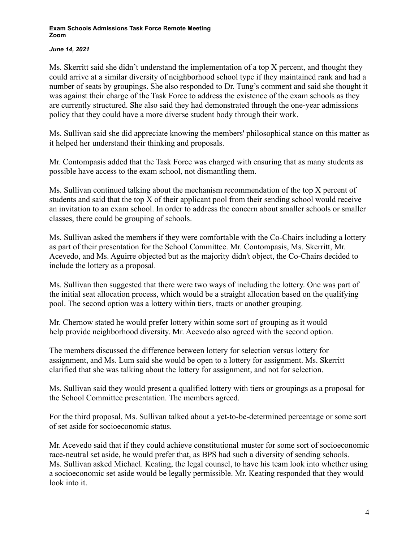### *June 14, 2021*

Ms. Skerritt said she didn't understand the implementation of a top X percent, and thought they could arrive at a similar diversity of neighborhood school type if they maintained rank and had a number of seats by groupings. She also responded to Dr. Tung's comment and said she thought it was against their charge of the Task Force to address the existence of the exam schools as they are currently structured. She also said they had demonstrated through the one-year admissions policy that they could have a more diverse student body through their work.

Ms. Sullivan said she did appreciate knowing the members' philosophical stance on this matter as it helped her understand their thinking and proposals.

Mr. Contompasis added that the Task Force was charged with ensuring that as many students as possible have access to the exam school, not dismantling them.

Ms. Sullivan continued talking about the mechanism recommendation of the top X percent of students and said that the top X of their applicant pool from their sending school would receive an invitation to an exam school. In order to address the concern about smaller schools or smaller classes, there could be grouping of schools.

Ms. Sullivan asked the members if they were comfortable with the Co-Chairs including a lottery as part of their presentation for the School Committee. Mr. Contompasis, Ms. Skerritt, Mr. Acevedo, and Ms. Aguirre objected but as the majority didn't object, the Co-Chairs decided to include the lottery as a proposal.

Ms. Sullivan then suggested that there were two ways of including the lottery. One was part of the initial seat allocation process, which would be a straight allocation based on the qualifying pool. The second option was a lottery within tiers, tracts or another grouping.

Mr. Chernow stated he would prefer lottery within some sort of grouping as it would help provide neighborhood diversity. Mr. Acevedo also agreed with the second option.

The members discussed the difference between lottery for selection versus lottery for assignment, and Ms. Lum said she would be open to a lottery for assignment. Ms. Skerritt clarified that she was talking about the lottery for assignment, and not for selection.

Ms. Sullivan said they would present a qualified lottery with tiers or groupings as a proposal for the School Committee presentation. The members agreed.

For the third proposal, Ms. Sullivan talked about a yet-to-be-determined percentage or some sort of set aside for socioeconomic status.

Mr. Acevedo said that if they could achieve constitutional muster for some sort of socioeconomic race-neutral set aside, he would prefer that, as BPS had such a diversity of sending schools. Ms. Sullivan asked Michael. Keating, the legal counsel, to have his team look into whether using a socioeconomic set aside would be legally permissible. Mr. Keating responded that they would look into it.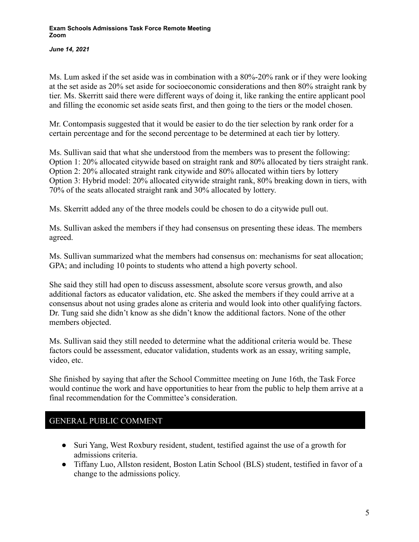*June 14, 2021*

Ms. Lum asked if the set aside was in combination with a 80%-20% rank or if they were looking at the set aside as 20% set aside for socioeconomic considerations and then 80% straight rank by tier. Ms. Skerritt said there were different ways of doing it, like ranking the entire applicant pool and filling the economic set aside seats first, and then going to the tiers or the model chosen.

Mr. Contompasis suggested that it would be easier to do the tier selection by rank order for a certain percentage and for the second percentage to be determined at each tier by lottery.

Ms. Sullivan said that what she understood from the members was to present the following: Option 1: 20% allocated citywide based on straight rank and 80% allocated by tiers straight rank. Option 2: 20% allocated straight rank citywide and 80% allocated within tiers by lottery Option 3: Hybrid model: 20% allocated citywide straight rank, 80% breaking down in tiers, with 70% of the seats allocated straight rank and 30% allocated by lottery.

Ms. Skerritt added any of the three models could be chosen to do a citywide pull out.

Ms. Sullivan asked the members if they had consensus on presenting these ideas. The members agreed.

Ms. Sullivan summarized what the members had consensus on: mechanisms for seat allocation; GPA; and including 10 points to students who attend a high poverty school.

She said they still had open to discuss assessment, absolute score versus growth, and also additional factors as educator validation, etc. She asked the members if they could arrive at a consensus about not using grades alone as criteria and would look into other qualifying factors. Dr. Tung said she didn't know as she didn't know the additional factors. None of the other members objected.

Ms. Sullivan said they still needed to determine what the additional criteria would be. These factors could be assessment, educator validation, students work as an essay, writing sample, video, etc.

She finished by saying that after the School Committee meeting on June 16th, the Task Force would continue the work and have opportunities to hear from the public to help them arrive at a final recommendation for the Committee's consideration.

# GENERAL PUBLIC COMMENT

- Suri Yang, West Roxbury resident, student, testified against the use of a growth for admissions criteria.
- Tiffany Luo, Allston resident, Boston Latin School (BLS) student, testified in favor of a change to the admissions policy.